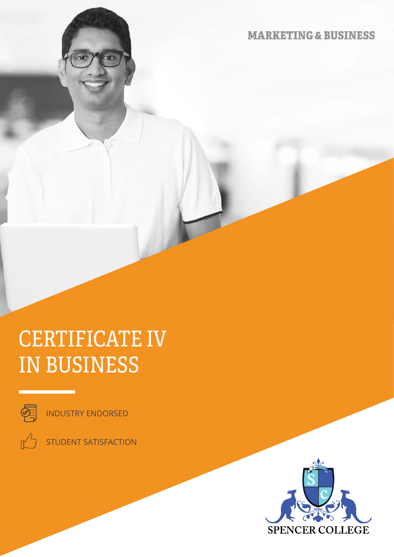MARKETING & BUSINESS

# CERTIFICATE IV IN BUSINESS



INDUSTRY ENDORSED



STUDENT SATISFACTION